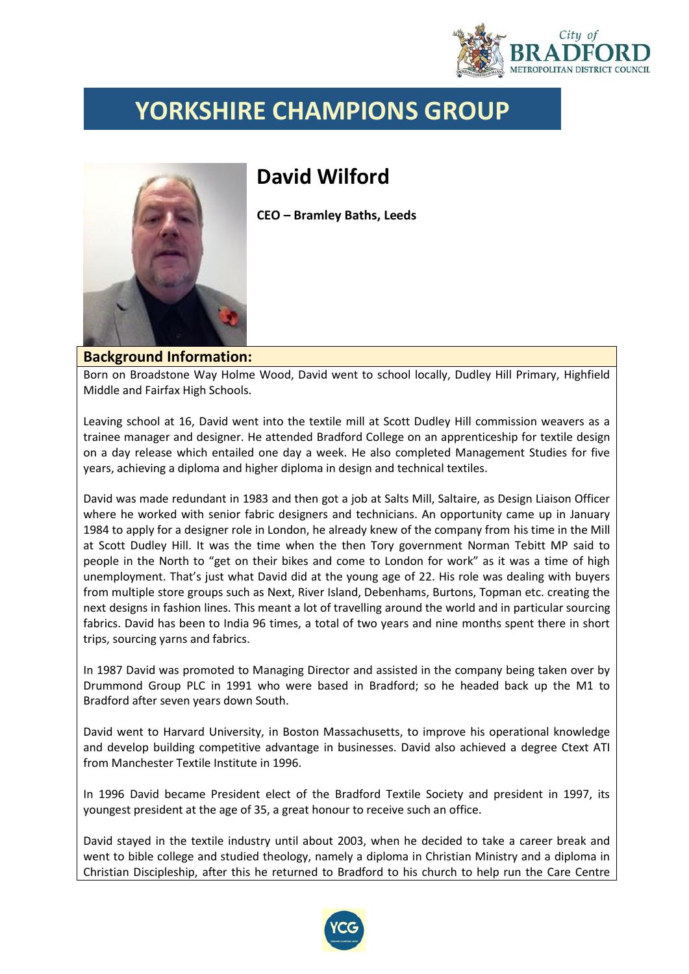

## **YORKSHIRE CHAMPIONS GROUP**

## **David Wilford**



**CEO – Bramley Baths, Leeds**

## **Background Information:**

Born on Broadstone Way Holme Wood, David went to school locally, Dudley Hill Primary, Highfield Middle and Fairfax High Schools.

Leaving school at 16, David went into the textile mill at Scott Dudley Hill commission weavers as a trainee manager and designer. He attended Bradford College on an apprenticeship for textile design on a day release which entailed one day a week. He also completed Management Studies for five years, achieving a diploma and higher diploma in design and technical textiles.

David was made redundant in 1983 and then got a job at Salts Mill, Saltaire, as Design Liaison Officer where he worked with senior fabric designers and technicians. An opportunity came up in January 1984 to apply for a designer role in London, he already knew of the company from his time in the Mill at Scott Dudley Hill. It was the time when the then Tory government Norman Tebitt MP said to people in the North to "get on their bikes and come to London for work" as it was a time of high unemployment. That's just what David did at the young age of 22. His role was dealing with buyers from multiple store groups such as Next, River Island, Debenhams, Burtons, Topman etc. creating the next designs in fashion lines. This meant a lot of travelling around the world and in particular sourcing fabrics. David has been to India 96 times, a total of two years and nine months spent there in short trips, sourcing yarns and fabrics.

In 1987 David was promoted to Managing Director and assisted in the company being taken over by Drummond Group PLC in 1991 who were based in Bradford; so he headed back up the M1 to Bradford after seven years down South.

David went to Harvard University, in Boston Massachusetts, to improve his operational knowledge and develop building competitive advantage in businesses. David also achieved a degree Ctext ATI from Manchester Textile Institute in 1996.

In 1996 David became President elect of the Bradford Textile Society and president in 1997, its youngest president at the age of 35, a great honour to receive such an office.

David stayed in the textile industry until about 2003, when he decided to take a career break and went to bible college and studied theology, namely a diploma in Christian Ministry and a diploma in Christian Discipleship, after this he returned to Bradford to his church to help run the Care Centre